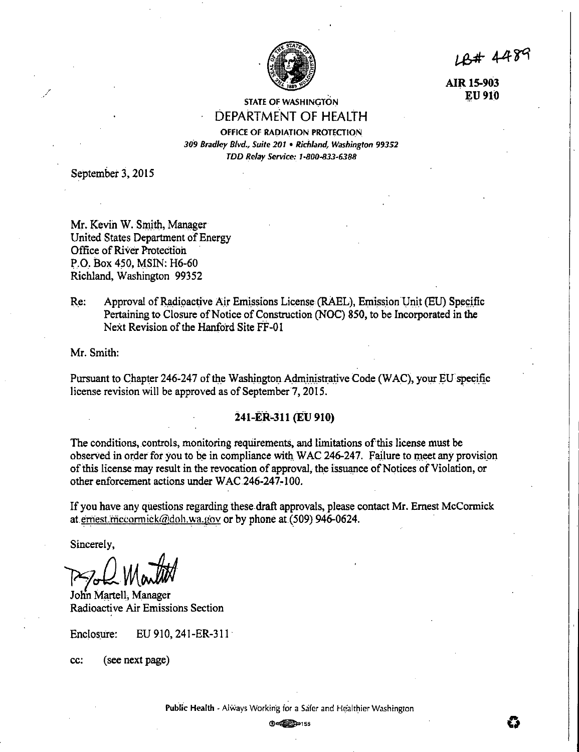

LB# 4489

**AIRlS-903 ]):U 910** 

## **STATE OF WASHINGTON** DEPARTMENT OF HEALTH

OFFICE OF RADIATION PROTECTION 309 Bradley Blvd., Suite 201 • Richland, Washington 99352 TDD Relay Service:\_ I-B0Q-833-6388

September 3, 2015

Mr. Kevin W. Smith, Manager United States Department of Energy Office of River Protection P.O. Box 450, MSIN: H6-60 Richland, Washington 99352

Re: Approval of Radioactive Air Emissions License (RAEL), Emission Unit (EU) Specific Pertaining to Closure of Notice of Construction (NOC) 850, to be Incorporated in the Next Revision of the Hanford Site FF-01

Mr. Smith:

Pursuant to Chapter 246-247 of the Washington Administrative Code (WAC), your EU specific license revision will be approved as of September 7, 2015.

## **:Z41-ER~311 (EU 910)**

The conditions, controls, monitoring requirements, and limitations of this license must be observed in order for you to be in compliance with WAC 246-247. Failure to meet any provision of this license may result in the revocation of approval, the issuance of Notices .of Violation, or other enforcement actions under WAC 246-247-100.

If you have any questions regarding these draft approvals, please contact Mr. Ernest McCormick at ernest.mccormick@doh.wa.gov or by phone at (509) 946-0624.

Sincerely,

*P']Jlv¾;}j/1}* 

John Martell, Manager Radioactive Air Emissions Section

Enclosure: EU 910, 241-ER-311

cc: ( see next page)

®~155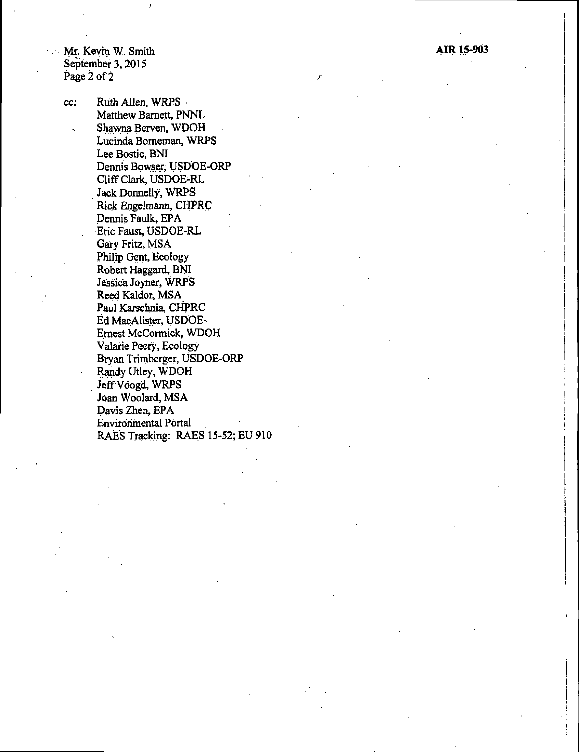$\boldsymbol{J}$ 

cc: Ruth Allen, WRPS - Matthew Barnett, PNNL Shawna Berven, WDOH Lucinda Borneman, WRPS Lee Bostic, BNI Dermis Bowser, USDOE-ORP Cliff Clark, USDOE-RL Jack Donnelly, WRPS Rick Engelmann, CHPRC Dennis Faulk, EPA Eric Faust, USDOE-RL Gary Fritz, MSA Philip Gent, Ecology Robert Haggard, BNI Jessica Joyner, WRPS Reed Kaldor, MSA Paul Karschnia, CHPRC Ed MacAlister, USDOE-E\_mest McCormick, WDOH Valarie Peery, Ecology Bryan Trirnberger, USDOE-ORP Randy Utley, WDOH Jeff Voogd, WRPS Joan Woolard, MSA Davis Zhen, EPA Environmental Portal RAES Tracking: RAES 15-52; EU 910 J"